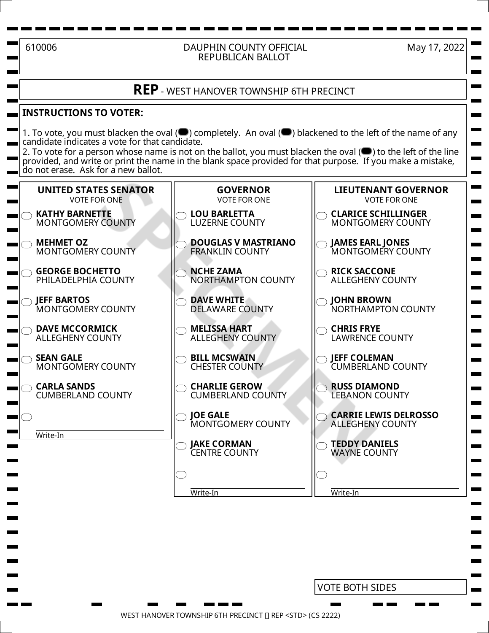## 610006 DAUPHIN COUNTY OFFICIAL REPUBLICAN BALLOT

May 17, 2022

## **REP**- WEST HANOVER TOWNSHIP 6TH PRECINCT

## **INSTRUCTIONS TO VOTER:**

1. To vote, you must blacken the oval ( $\blacksquare$ ) completely. An oval ( $\blacksquare$ ) blackened to the left of the name of any candidate indicates a vote for that candidate.

2. To vote for a person whose name is not on the ballot, you must blacken the oval  $(\blacksquare)$  to the left of the line provided, and write or print the name in the blank space provided for that purpose. If you make a mistake, do not erase. Ask for a new ballot.



VOTE BOTH SIDES